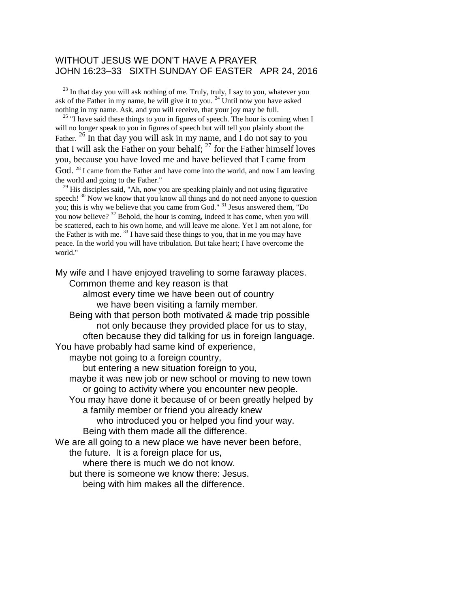## WITHOUT JESUS WE DON'T HAVE A PRAYER JOHN 16:23–33 SIXTH SUNDAY OF EASTER APR 24, 2016

 $23$  In that day you will ask nothing of me. Truly, truly, I say to you, whatever you ask of the Father in my name, he will give it to you. <sup>24</sup> Until now you have asked nothing in my name. Ask, and you will receive, that your joy may be full.

 $^{25}$  "I have said these things to you in figures of speech. The hour is coming when I will no longer speak to you in figures of speech but will tell you plainly about the Father. <sup>26</sup> In that day you will ask in my name, and I do not say to you that I will ask the Father on your behalf;  $27$  for the Father himself loves you, because you have loved me and have believed that I came from God. <sup>28</sup> I came from the Father and have come into the world, and now I am leaving the world and going to the Father."

 $29$  His disciples said, "Ah, now you are speaking plainly and not using figurative speech! <sup>30</sup> Now we know that you know all things and do not need anyone to question you; this is why we believe that you came from God." <sup>31</sup> Jesus answered them, "Do you now believe? <sup>32</sup> Behold, the hour is coming, indeed it has come, when you will be scattered, each to his own home, and will leave me alone. Yet I am not alone, for the Father is with me.  $^{33}$  I have said these things to you, that in me you may have peace. In the world you will have tribulation. But take heart; I have overcome the world."

My wife and I have enjoyed traveling to some faraway places. Common theme and key reason is that

> almost every time we have been out of country we have been visiting a family member.

Being with that person both motivated & made trip possible not only because they provided place for us to stay, often because they did talking for us in foreign language. You have probably had same kind of experience,

maybe not going to a foreign country,

but entering a new situation foreign to you,

maybe it was new job or new school or moving to new town or going to activity where you encounter new people.

You may have done it because of or been greatly helped by a family member or friend you already knew

who introduced you or helped you find your way.

Being with them made all the difference.

We are all going to a new place we have never been before,

the future. It is a foreign place for us,

where there is much we do not know.

but there is someone we know there: Jesus.

being with him makes all the difference.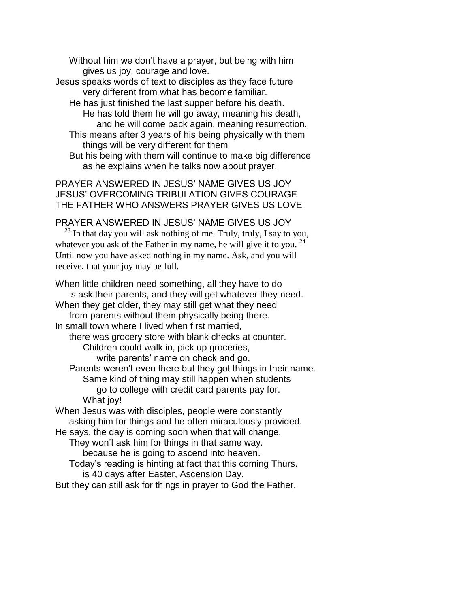Without him we don't have a prayer, but being with him gives us joy, courage and love.

- Jesus speaks words of text to disciples as they face future very different from what has become familiar.
	- He has just finished the last supper before his death. He has told them he will go away, meaning his death, and he will come back again, meaning resurrection.
	- This means after 3 years of his being physically with them things will be very different for them
	- But his being with them will continue to make big difference as he explains when he talks now about prayer.

PRAYER ANSWERED IN JESUS' NAME GIVES US JOY JESUS' OVERCOMING TRIBULATION GIVES COURAGE THE FATHER WHO ANSWERS PRAYER GIVES US LOVE

## PRAYER ANSWERED IN JESUS' NAME GIVES US JOY

 $^{23}$  In that day you will ask nothing of me. Truly, truly, I say to you, whatever you ask of the Father in my name, he will give it to you.  $24$ Until now you have asked nothing in my name. Ask, and you will receive, that your joy may be full.

When little children need something, all they have to do is ask their parents, and they will get whatever they need. When they get older, they may still get what they need from parents without them physically being there. In small town where I lived when first married, there was grocery store with blank checks at counter. Children could walk in, pick up groceries, write parents' name on check and go. Parents weren't even there but they got things in their name. Same kind of thing may still happen when students go to college with credit card parents pay for. What joy! When Jesus was with disciples, people were constantly asking him for things and he often miraculously provided. He says, the day is coming soon when that will change. They won't ask him for things in that same way. because he is going to ascend into heaven. Today's reading is hinting at fact that this coming Thurs. is 40 days after Easter, Ascension Day.

But they can still ask for things in prayer to God the Father,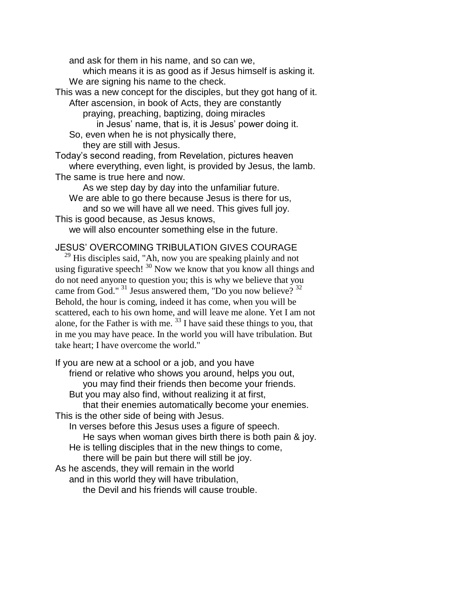and ask for them in his name, and so can we,

which means it is as good as if Jesus himself is asking it. We are signing his name to the check.

This was a new concept for the disciples, but they got hang of it. After ascension, in book of Acts, they are constantly

praying, preaching, baptizing, doing miracles

in Jesus' name, that is, it is Jesus' power doing it. So, even when he is not physically there,

they are still with Jesus.

Today's second reading, from Revelation, pictures heaven where everything, even light, is provided by Jesus, the lamb. The same is true here and now.

As we step day by day into the unfamiliar future. We are able to go there because Jesus is there for us, and so we will have all we need. This gives full joy.

This is good because, as Jesus knows,

we will also encounter something else in the future.

## JESUS' OVERCOMING TRIBULATION GIVES COURAGE

<sup>29</sup> His disciples said, "Ah, now you are speaking plainly and not using figurative speech!<sup>30</sup> Now we know that you know all things and do not need anyone to question you; this is why we believe that you came from God." <sup>31</sup> Jesus answered them, "Do you now believe? <sup>32</sup> Behold, the hour is coming, indeed it has come, when you will be scattered, each to his own home, and will leave me alone. Yet I am not alone, for the Father is with me. <sup>33</sup> I have said these things to you, that in me you may have peace. In the world you will have tribulation. But take heart; I have overcome the world."

If you are new at a school or a job, and you have friend or relative who shows you around, helps you out, you may find their friends then become your friends. But you may also find, without realizing it at first, that their enemies automatically become your enemies. This is the other side of being with Jesus. In verses before this Jesus uses a figure of speech. He says when woman gives birth there is both pain & joy. He is telling disciples that in the new things to come, there will be pain but there will still be joy. As he ascends, they will remain in the world and in this world they will have tribulation, the Devil and his friends will cause trouble.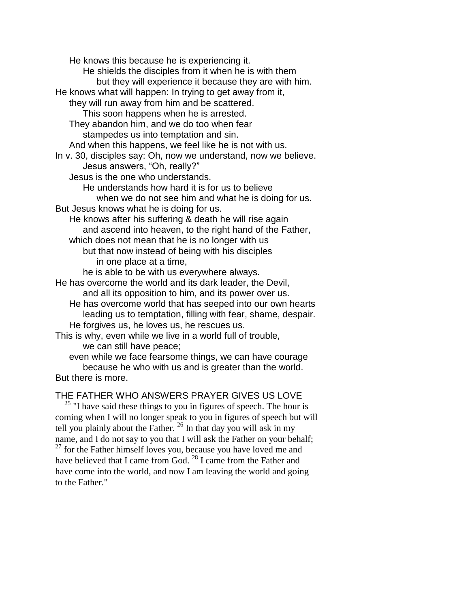He knows this because he is experiencing it. He shields the disciples from it when he is with them but they will experience it because they are with him. He knows what will happen: In trying to get away from it, they will run away from him and be scattered. This soon happens when he is arrested. They abandon him, and we do too when fear stampedes us into temptation and sin. And when this happens, we feel like he is not with us. In v. 30, disciples say: Oh, now we understand, now we believe. Jesus answers, "Oh, really?" Jesus is the one who understands. He understands how hard it is for us to believe when we do not see him and what he is doing for us. But Jesus knows what he is doing for us. He knows after his suffering & death he will rise again and ascend into heaven, to the right hand of the Father, which does not mean that he is no longer with us but that now instead of being with his disciples in one place at a time, he is able to be with us everywhere always. He has overcome the world and its dark leader, the Devil, and all its opposition to him, and its power over us. He has overcome world that has seeped into our own hearts leading us to temptation, filling with fear, shame, despair. He forgives us, he loves us, he rescues us. This is why, even while we live in a world full of trouble, we can still have peace; even while we face fearsome things, we can have courage because he who with us and is greater than the world.

But there is more.

## THE FATHER WHO ANSWERS PRAYER GIVES US LOVE

 $25$  "I have said these things to you in figures of speech. The hour is coming when I will no longer speak to you in figures of speech but will tell you plainly about the Father.  $^{26}$  In that day you will ask in my name, and I do not say to you that I will ask the Father on your behalf;  $27$  for the Father himself loves you, because you have loved me and have believed that I came from God. <sup>28</sup> I came from the Father and have come into the world, and now I am leaving the world and going to the Father."